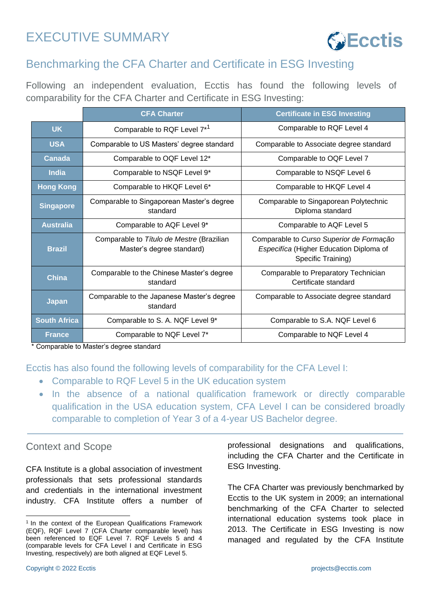# EXECUTIVE SUMMARY



# Benchmarking the CFA Charter and Certificate in ESG Investing

Following an independent evaluation, Ecctis has found the following levels of comparability for the CFA Charter and Certificate in ESG Investing:

|                     | <b>CFA Charter</b>                                                     | <b>Certificate in ESG Investing</b>                                                                       |
|---------------------|------------------------------------------------------------------------|-----------------------------------------------------------------------------------------------------------|
| <b>UK</b>           | Comparable to RQF Level 7 <sup>*1</sup>                                | Comparable to RQF Level 4                                                                                 |
| <b>USA</b>          | Comparable to US Masters' degree standard                              | Comparable to Associate degree standard                                                                   |
| Canada              | Comparable to OQF Level 12*                                            | Comparable to OQF Level 7                                                                                 |
| <b>India</b>        | Comparable to NSQF Level 9*                                            | Comparable to NSQF Level 6                                                                                |
| <b>Hong Kong</b>    | Comparable to HKQF Level 6*                                            | Comparable to HKQF Level 4                                                                                |
| <b>Singapore</b>    | Comparable to Singaporean Master's degree<br>standard                  | Comparable to Singaporean Polytechnic<br>Diploma standard                                                 |
| <b>Australia</b>    | Comparable to AQF Level 9*                                             | Comparable to AQF Level 5                                                                                 |
| <b>Brazil</b>       | Comparable to Título de Mestre (Brazilian<br>Master's degree standard) | Comparable to Curso Superior de Formação<br>Especifíca (Higher Education Diploma of<br>Specific Training) |
| <b>China</b>        | Comparable to the Chinese Master's degree<br>standard                  | Comparable to Preparatory Technician<br>Certificate standard                                              |
| <b>Japan</b>        | Comparable to the Japanese Master's degree<br>standard                 | Comparable to Associate degree standard                                                                   |
| <b>South Africa</b> | Comparable to S. A. NQF Level 9*                                       | Comparable to S.A. NQF Level 6                                                                            |
| <b>France</b>       | Comparable to NQF Level 7*                                             | Comparable to NQF Level 4                                                                                 |

\* Comparable to Master's degree standard

Ecctis has also found the following levels of comparability for the CFA Level I:

- Comparable to RQF Level 5 in the UK education system
- In the absence of a national qualification framework or directly comparable qualification in the USA education system, CFA Level I can be considered broadly comparable to completion of Year 3 of a 4-year US Bachelor degree.

#### Context and Scope

CFA Institute is a global association of investment professionals that sets professional standards and credentials in the international investment industry. CFA Institute offers a number of professional designations and qualifications, including the CFA Charter and the Certificate in ESG Investing.

The CFA Charter was previously benchmarked by Ecctis to the UK system in 2009; an international benchmarking of the CFA Charter to selected international education systems took place in 2013. The Certificate in ESG Investing is now managed and regulated by the CFA Institute

<sup>&</sup>lt;sup>1</sup> In the context of the European Qualifications Framework (EQF), RQF Level 7 (CFA Charter comparable level) has been referenced to EQF Level 7. RQF Levels 5 and 4 (comparable levels for CFA Level I and Certificate in ESG Investing, respectively) are both aligned at EQF Level 5.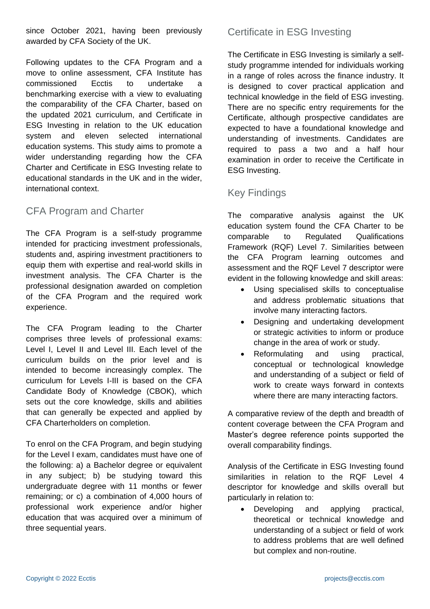since October 2021, having been previously awarded by CFA Society of the UK.

Following updates to the CFA Program and a move to online assessment, CFA Institute has commissioned Ecctis to undertake a benchmarking exercise with a view to evaluating the comparability of the CFA Charter, based on the updated 2021 curriculum, and Certificate in ESG Investing in relation to the UK education system and eleven selected international education systems. This study aims to promote a wider understanding regarding how the CFA Charter and Certificate in ESG Investing relate to educational standards in the UK and in the wider, international context.

#### CFA Program and Charter

The CFA Program is a self-study programme intended for practicing investment professionals, students and, aspiring investment practitioners to equip them with expertise and real-world skills in investment analysis. The CFA Charter is the professional designation awarded on completion of the CFA Program and the required work experience.

The CFA Program leading to the Charter comprises three levels of professional exams: Level I, Level II and Level III. Each level of the curriculum builds on the prior level and is intended to become increasingly complex. The curriculum for Levels I-III is based on the CFA Candidate Body of Knowledge (CBOK), which sets out the core knowledge, skills and abilities that can generally be expected and applied by CFA Charterholders on completion.

To enrol on the CFA Program, and begin studying for the Level I exam, candidates must have one of the following: a) a Bachelor degree or equivalent in any subject; b) be studying toward this undergraduate degree with 11 months or fewer remaining; or c) a combination of 4,000 hours of professional work experience and/or higher education that was acquired over a minimum of three sequential years.

### Certificate in ESG Investing

The Certificate in ESG Investing is similarly a selfstudy programme intended for individuals working in a range of roles across the finance industry. It is designed to cover practical application and technical knowledge in the field of ESG investing. There are no specific entry requirements for the Certificate, although prospective candidates are expected to have a foundational knowledge and understanding of investments. Candidates are required to pass a two and a half hour examination in order to receive the Certificate in ESG Investing.

## Key Findings

The comparative analysis against the UK education system found the CFA Charter to be comparable to Regulated Qualifications Framework (RQF) Level 7. Similarities between the CFA Program learning outcomes and assessment and the RQF Level 7 descriptor were evident in the following knowledge and skill areas:

- Using specialised skills to conceptualise and address problematic situations that involve many interacting factors.
- Designing and undertaking development or strategic activities to inform or produce change in the area of work or study.
- Reformulating and using practical, conceptual or technological knowledge and understanding of a subject or field of work to create ways forward in contexts where there are many interacting factors.

A comparative review of the depth and breadth of content coverage between the CFA Program and Master's degree reference points supported the overall comparability findings.

Analysis of the Certificate in ESG Investing found similarities in relation to the RQF Level 4 descriptor for knowledge and skills overall but particularly in relation to:

• Developing and applying practical, theoretical or technical knowledge and understanding of a subject or field of work to address problems that are well defined but complex and non-routine.